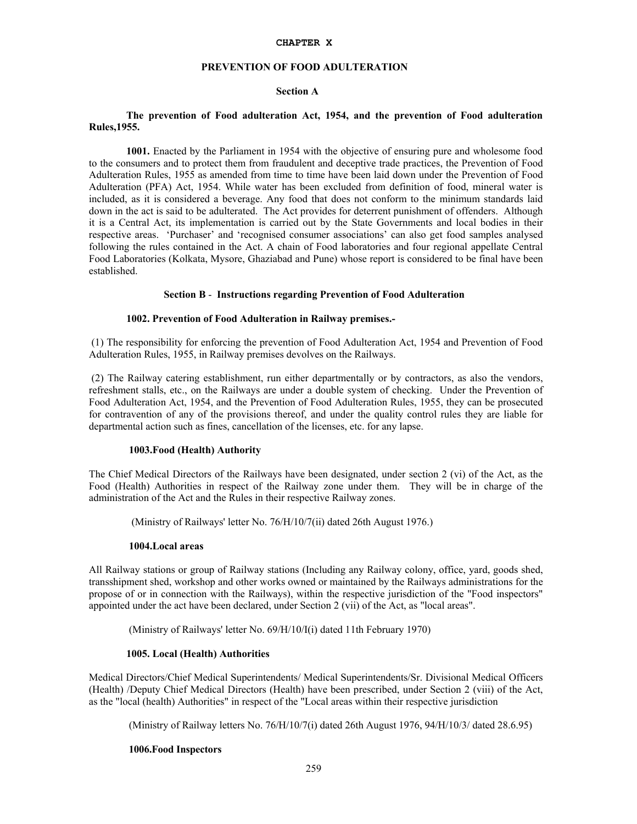#### **CHAPTER X**

# **PREVENTION OF FOOD ADULTERATION**

# **Section A**

# **The prevention of Food adulteration Act, 1954, and the prevention of Food adulteration Rules,1955.**

**1001.** Enacted by the Parliament in 1954 with the objective of ensuring pure and wholesome food to the consumers and to protect them from fraudulent and deceptive trade practices, the Prevention of Food Adulteration Rules, 1955 as amended from time to time have been laid down under the Prevention of Food Adulteration (PFA) Act, 1954. While water has been excluded from definition of food, mineral water is included, as it is considered a beverage. Any food that does not conform to the minimum standards laid down in the act is said to be adulterated. The Act provides for deterrent punishment of offenders. Although it is a Central Act, its implementation is carried out by the State Governments and local bodies in their respective areas. 'Purchaser' and 'recognised consumer associations' can also get food samples analysed following the rules contained in the Act. A chain of Food laboratories and four regional appellate Central Food Laboratories (Kolkata, Mysore, Ghaziabad and Pune) whose report is considered to be final have been established.

### **Section B** - **Instructions regarding Prevention of Food Adulteration**

#### **1002. Prevention of Food Adulteration in Railway premises.-**

(1) The responsibility for enforcing the prevention of Food Adulteration Act, 1954 and Prevention of Food Adulteration Rules, 1955, in Railway premises devolves on the Railways.

 (2) The Railway catering establishment, run either departmentally or by contractors, as also the vendors, refreshment stalls, etc., on the Railways are under a double system of checking. Under the Prevention of Food Adulteration Act, 1954, and the Prevention of Food Adulteration Rules, 1955, they can be prosecuted for contravention of any of the provisions thereof, and under the quality control rules they are liable for departmental action such as fines, cancellation of the licenses, etc. for any lapse.

#### **1003.Food (Health) Authority**

The Chief Medical Directors of the Railways have been designated, under section 2 (vi) of the Act, as the Food (Health) Authorities in respect of the Railway zone under them. They will be in charge of the administration of the Act and the Rules in their respective Railway zones.

(Ministry of Railways' letter No. 76/H/10/7(ii) dated 26th August 1976.)

#### **1004.Local areas**

All Railway stations or group of Railway stations (Including any Railway colony, office, yard, goods shed, transshipment shed, workshop and other works owned or maintained by the Railways administrations for the propose of or in connection with the Railways), within the respective jurisdiction of the "Food inspectors" appointed under the act have been declared, under Section 2 (vii) of the Act, as "local areas".

(Ministry of Railways' letter No. 69/H/10/I(i) dated 11th February 1970)

#### **1005. Local (Health) Authorities**

Medical Directors/Chief Medical Superintendents/ Medical Superintendents/Sr. Divisional Medical Officers (Health) /Deputy Chief Medical Directors (Health) have been prescribed, under Section 2 (viii) of the Act, as the "local (health) Authorities" in respect of the "Local areas within their respective jurisdiction

(Ministry of Railway letters No. 76/H/10/7(i) dated 26th August 1976, 94/H/10/3/ dated 28.6.95)

#### **1006.Food Inspectors**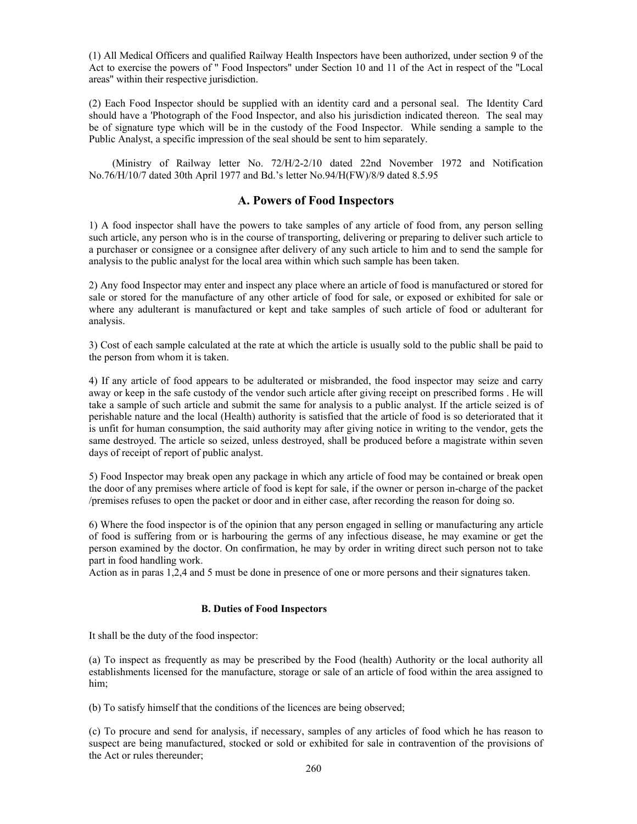(1) All Medical Officers and qualified Railway Health Inspectors have been authorized, under section 9 of the Act to exercise the powers of " Food Inspectors" under Section 10 and 11 of the Act in respect of the "Local areas" within their respective jurisdiction.

(2) Each Food Inspector should be supplied with an identity card and a personal seal. The Identity Card should have a 'Photograph of the Food Inspector, and also his jurisdiction indicated thereon. The seal may be of signature type which will be in the custody of the Food Inspector. While sending a sample to the Public Analyst, a specific impression of the seal should be sent to him separately.

 (Ministry of Railway letter No. 72/H/2-2/10 dated 22nd November 1972 and Notification No.76/H/10/7 dated 30th April 1977 and Bd.'s letter No.94/H(FW)/8/9 dated 8.5.95

# **A. Powers of Food Inspectors**

1) A food inspector shall have the powers to take samples of any article of food from, any person selling such article, any person who is in the course of transporting, delivering or preparing to deliver such article to a purchaser or consignee or a consignee after delivery of any such article to him and to send the sample for analysis to the public analyst for the local area within which such sample has been taken.

2) Any food Inspector may enter and inspect any place where an article of food is manufactured or stored for sale or stored for the manufacture of any other article of food for sale, or exposed or exhibited for sale or where any adulterant is manufactured or kept and take samples of such article of food or adulterant for analysis.

3) Cost of each sample calculated at the rate at which the article is usually sold to the public shall be paid to the person from whom it is taken.

4) If any article of food appears to be adulterated or misbranded, the food inspector may seize and carry away or keep in the safe custody of the vendor such article after giving receipt on prescribed forms . He will take a sample of such article and submit the same for analysis to a public analyst. If the article seized is of perishable nature and the local (Health) authority is satisfied that the article of food is so deteriorated that it is unfit for human consumption, the said authority may after giving notice in writing to the vendor, gets the same destroyed. The article so seized, unless destroyed, shall be produced before a magistrate within seven days of receipt of report of public analyst.

5) Food Inspector may break open any package in which any article of food may be contained or break open the door of any premises where article of food is kept for sale, if the owner or person in-charge of the packet /premises refuses to open the packet or door and in either case, after recording the reason for doing so.

6) Where the food inspector is of the opinion that any person engaged in selling or manufacturing any article of food is suffering from or is harbouring the germs of any infectious disease, he may examine or get the person examined by the doctor. On confirmation, he may by order in writing direct such person not to take part in food handling work.

Action as in paras 1,2,4 and 5 must be done in presence of one or more persons and their signatures taken.

### **B. Duties of Food Inspectors**

It shall be the duty of the food inspector:

(a) To inspect as frequently as may be prescribed by the Food (health) Authority or the local authority all establishments licensed for the manufacture, storage or sale of an article of food within the area assigned to him;

(b) To satisfy himself that the conditions of the licences are being observed;

(c) To procure and send for analysis, if necessary, samples of any articles of food which he has reason to suspect are being manufactured, stocked or sold or exhibited for sale in contravention of the provisions of the Act or rules thereunder;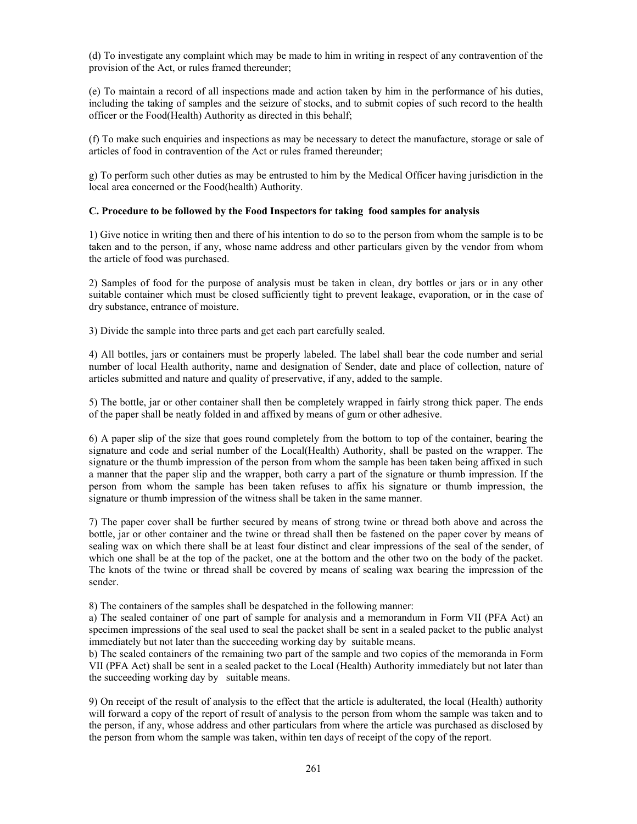(d) To investigate any complaint which may be made to him in writing in respect of any contravention of the provision of the Act, or rules framed thereunder;

(e) To maintain a record of all inspections made and action taken by him in the performance of his duties, including the taking of samples and the seizure of stocks, and to submit copies of such record to the health officer or the Food(Health) Authority as directed in this behalf;

(f) To make such enquiries and inspections as may be necessary to detect the manufacture, storage or sale of articles of food in contravention of the Act or rules framed thereunder;

g) To perform such other duties as may be entrusted to him by the Medical Officer having jurisdiction in the local area concerned or the Food(health) Authority.

## **C. Procedure to be followed by the Food Inspectors for taking food samples for analysis**

1) Give notice in writing then and there of his intention to do so to the person from whom the sample is to be taken and to the person, if any, whose name address and other particulars given by the vendor from whom the article of food was purchased.

2) Samples of food for the purpose of analysis must be taken in clean, dry bottles or jars or in any other suitable container which must be closed sufficiently tight to prevent leakage, evaporation, or in the case of dry substance, entrance of moisture.

3) Divide the sample into three parts and get each part carefully sealed.

4) All bottles, jars or containers must be properly labeled. The label shall bear the code number and serial number of local Health authority, name and designation of Sender, date and place of collection, nature of articles submitted and nature and quality of preservative, if any, added to the sample.

5) The bottle, jar or other container shall then be completely wrapped in fairly strong thick paper. The ends of the paper shall be neatly folded in and affixed by means of gum or other adhesive.

6) A paper slip of the size that goes round completely from the bottom to top of the container, bearing the signature and code and serial number of the Local(Health) Authority, shall be pasted on the wrapper. The signature or the thumb impression of the person from whom the sample has been taken being affixed in such a manner that the paper slip and the wrapper, both carry a part of the signature or thumb impression. If the person from whom the sample has been taken refuses to affix his signature or thumb impression, the signature or thumb impression of the witness shall be taken in the same manner.

7) The paper cover shall be further secured by means of strong twine or thread both above and across the bottle, jar or other container and the twine or thread shall then be fastened on the paper cover by means of sealing wax on which there shall be at least four distinct and clear impressions of the seal of the sender, of which one shall be at the top of the packet, one at the bottom and the other two on the body of the packet. The knots of the twine or thread shall be covered by means of sealing wax bearing the impression of the sender.

8) The containers of the samples shall be despatched in the following manner:

a) The sealed container of one part of sample for analysis and a memorandum in Form VII (PFA Act) an specimen impressions of the seal used to seal the packet shall be sent in a sealed packet to the public analyst immediately but not later than the succeeding working day by suitable means.

b) The sealed containers of the remaining two part of the sample and two copies of the memoranda in Form VII (PFA Act) shall be sent in a sealed packet to the Local (Health) Authority immediately but not later than the succeeding working day by suitable means.

9) On receipt of the result of analysis to the effect that the article is adulterated, the local (Health) authority will forward a copy of the report of result of analysis to the person from whom the sample was taken and to the person, if any, whose address and other particulars from where the article was purchased as disclosed by the person from whom the sample was taken, within ten days of receipt of the copy of the report.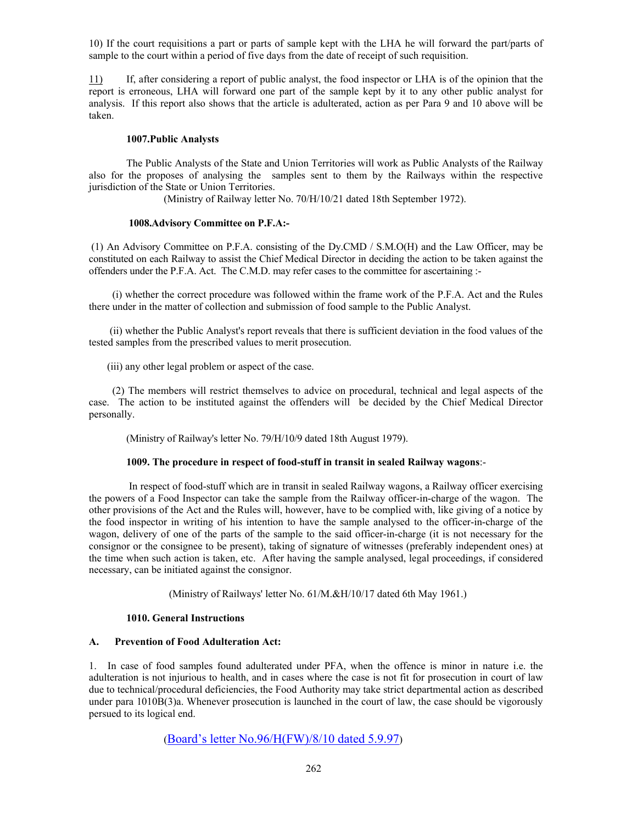10) If the court requisitions a part or parts of sample kept with the LHA he will forward the part/parts of sample to the court within a period of five days from the date of receipt of such requisition.

11) If, after considering a report of public analyst, the food inspector or LHA is of the opinion that the report is erroneous, LHA will forward one part of the sample kept by it to any other public analyst for analysis. If this report also shows that the article is adulterated, action as per Para 9 and 10 above will be taken.

### **1007.Public Analysts**

The Public Analysts of the State and Union Territories will work as Public Analysts of the Railway also for the proposes of analysing the samples sent to them by the Railways within the respective jurisdiction of the State or Union Territories.

(Ministry of Railway letter No. 70/H/10/21 dated 18th September 1972).

# **1008.Advisory Committee on P.F.A:-**

 (1) An Advisory Committee on P.F.A. consisting of the Dy.CMD / S.M.O(H) and the Law Officer, may be constituted on each Railway to assist the Chief Medical Director in deciding the action to be taken against the offenders under the P.F.A. Act. The C.M.D. may refer cases to the committee for ascertaining :-

 (i) whether the correct procedure was followed within the frame work of the P.F.A. Act and the Rules there under in the matter of collection and submission of food sample to the Public Analyst.

 (ii) whether the Public Analyst's report reveals that there is sufficient deviation in the food values of the tested samples from the prescribed values to merit prosecution.

(iii) any other legal problem or aspect of the case.

 (2) The members will restrict themselves to advice on procedural, technical and legal aspects of the case. The action to be instituted against the offenders will be decided by the Chief Medical Director personally.

(Ministry of Railway's letter No. 79/H/10/9 dated 18th August 1979).

### **1009. The procedure in respect of food-stuff in transit in sealed Railway wagons**:-

 In respect of food-stuff which are in transit in sealed Railway wagons, a Railway officer exercising the powers of a Food Inspector can take the sample from the Railway officer-in-charge of the wagon. The other provisions of the Act and the Rules will, however, have to be complied with, like giving of a notice by the food inspector in writing of his intention to have the sample analysed to the officer-in-charge of the wagon, delivery of one of the parts of the sample to the said officer-in-charge (it is not necessary for the consignor or the consignee to be present), taking of signature of witnesses (preferably independent ones) at the time when such action is taken, etc. After having the sample analysed, legal proceedings, if considered necessary, can be initiated against the consignor.

(Ministry of Railways' letter No. 61/M.&H/10/17 dated 6th May 1961.)

# **1010. General Instructions**

# **A. Prevention of Food Adulteration Act:**

1. In case of food samples found adulterated under PFA, when the offence is minor in nature i.e. the adulteration is not injurious to health, and in cases where the case is not fit for prosecution in court of law due to technical/procedural deficiencies, the Food Authority may take strict departmental action as described under para 1010B(3)a. Whenever prosecution is launched in the court of law, the case should be vigorously persued to its logical end.

(Board's letter No.96/H(FW)/8/10 dated 5.9.97)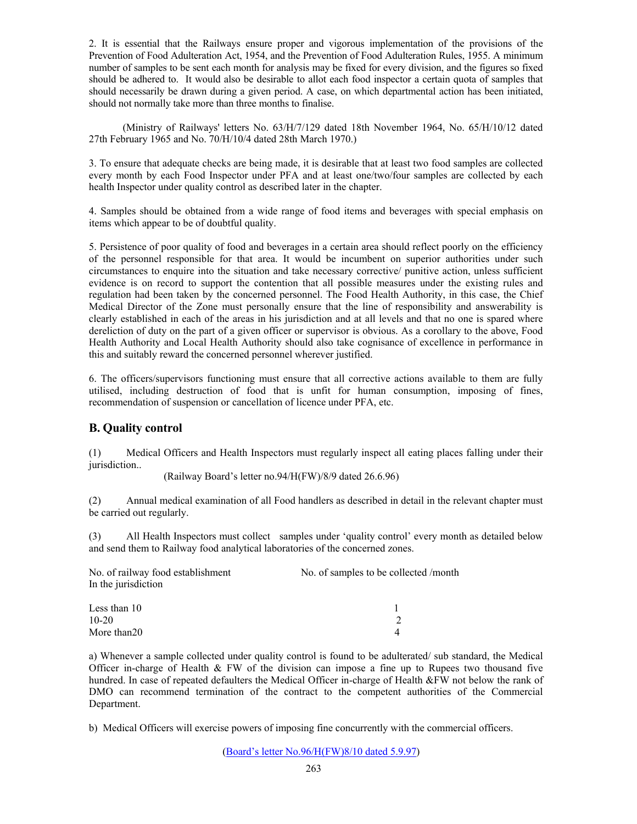2. It is essential that the Railways ensure proper and vigorous implementation of the provisions of the Prevention of Food Adulteration Act, 1954, and the Prevention of Food Adulteration Rules, 1955. A minimum number of samples to be sent each month for analysis may be fixed for every division, and the figures so fixed should be adhered to. It would also be desirable to allot each food inspector a certain quota of samples that should necessarily be drawn during a given period. A case, on which departmental action has been initiated, should not normally take more than three months to finalise.

 (Ministry of Railways' letters No. 63/H/7/129 dated 18th November 1964, No. 65/H/10/12 dated 27th February 1965 and No. 70/H/10/4 dated 28th March 1970.)

3. To ensure that adequate checks are being made, it is desirable that at least two food samples are collected every month by each Food Inspector under PFA and at least one/two/four samples are collected by each health Inspector under quality control as described later in the chapter.

4. Samples should be obtained from a wide range of food items and beverages with special emphasis on items which appear to be of doubtful quality.

5. Persistence of poor quality of food and beverages in a certain area should reflect poorly on the efficiency of the personnel responsible for that area. It would be incumbent on superior authorities under such circumstances to enquire into the situation and take necessary corrective/ punitive action, unless sufficient evidence is on record to support the contention that all possible measures under the existing rules and regulation had been taken by the concerned personnel. The Food Health Authority, in this case, the Chief Medical Director of the Zone must personally ensure that the line of responsibility and answerability is clearly established in each of the areas in his jurisdiction and at all levels and that no one is spared where dereliction of duty on the part of a given officer or supervisor is obvious. As a corollary to the above, Food Health Authority and Local Health Authority should also take cognisance of excellence in performance in this and suitably reward the concerned personnel wherever justified.

6. The officers/supervisors functioning must ensure that all corrective actions available to them are fully utilised, including destruction of food that is unfit for human consumption, imposing of fines, recommendation of suspension or cancellation of licence under PFA, etc.

# **B. Quality control**

(1) Medical Officers and Health Inspectors must regularly inspect all eating places falling under their jurisdiction...

(Railway Board's letter no.94/H(FW)/8/9 dated 26.6.96)

(2) Annual medical examination of all Food handlers as described in detail in the relevant chapter must be carried out regularly.

(3) All Health Inspectors must collect samples under 'quality control' every month as detailed below and send them to Railway food analytical laboratories of the concerned zones.

| No. of railway food establishment<br>In the jurisdiction | No. of samples to be collected /month |
|----------------------------------------------------------|---------------------------------------|
|                                                          |                                       |
| Less than 10                                             |                                       |
| $10 - 20$                                                |                                       |
| More than 20                                             |                                       |

a) Whenever a sample collected under quality control is found to be adulterated/ sub standard, the Medical Officer in-charge of Health  $\&$  FW of the division can impose a fine up to Rupees two thousand five hundred. In case of repeated defaulters the Medical Officer in-charge of Health &FW not below the rank of DMO can recommend termination of the contract to the competent authorities of the Commercial Department.

b) Medical Officers will exercise powers of imposing fine concurrently with the commercial officers.

(Board's letter No.96/H(FW)8/10 dated 5.9.97)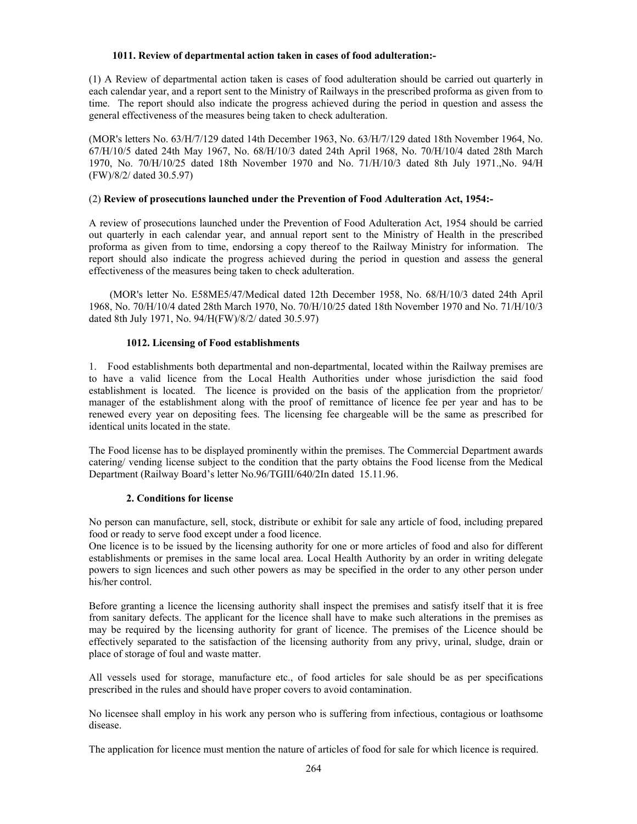### **1011. Review of departmental action taken in cases of food adulteration:-**

(1) A Review of departmental action taken is cases of food adulteration should be carried out quarterly in each calendar year, and a report sent to the Ministry of Railways in the prescribed proforma as given from to time. The report should also indicate the progress achieved during the period in question and assess the general effectiveness of the measures being taken to check adulteration.

(MOR's letters No. 63/H/7/129 dated 14th December 1963, No. 63/H/7/129 dated 18th November 1964, No. 67/H/10/5 dated 24th May 1967, No. 68/H/10/3 dated 24th April 1968, No. 70/H/10/4 dated 28th March 1970, No. 70/H/10/25 dated 18th November 1970 and No. 71/H/10/3 dated 8th July 1971.,No. 94/H (FW)/8/2/ dated 30.5.97)

# (2) **Review of prosecutions launched under the Prevention of Food Adulteration Act, 1954:-**

A review of prosecutions launched under the Prevention of Food Adulteration Act, 1954 should be carried out quarterly in each calendar year, and annual report sent to the Ministry of Health in the prescribed proforma as given from to time, endorsing a copy thereof to the Railway Ministry for information. The report should also indicate the progress achieved during the period in question and assess the general effectiveness of the measures being taken to check adulteration.

 (MOR's letter No. E58ME5/47/Medical dated 12th December 1958, No. 68/H/10/3 dated 24th April 1968, No. 70/H/10/4 dated 28th March 1970, No. 70/H/10/25 dated 18th November 1970 and No. 71/H/10/3 dated 8th July 1971, No. 94/H(FW)/8/2/ dated 30.5.97)

# **1012. Licensing of Food establishments**

1. Food establishments both departmental and non-departmental, located within the Railway premises are to have a valid licence from the Local Health Authorities under whose jurisdiction the said food establishment is located. The licence is provided on the basis of the application from the proprietor/ manager of the establishment along with the proof of remittance of licence fee per year and has to be renewed every year on depositing fees. The licensing fee chargeable will be the same as prescribed for identical units located in the state.

The Food license has to be displayed prominently within the premises. The Commercial Department awards catering/ vending license subject to the condition that the party obtains the Food license from the Medical Department (Railway Board's letter No.96/TGIII/640/2In dated 15.11.96.

# **2. Conditions for license**

No person can manufacture, sell, stock, distribute or exhibit for sale any article of food, including prepared food or ready to serve food except under a food licence.

One licence is to be issued by the licensing authority for one or more articles of food and also for different establishments or premises in the same local area. Local Health Authority by an order in writing delegate powers to sign licences and such other powers as may be specified in the order to any other person under his/her control.

Before granting a licence the licensing authority shall inspect the premises and satisfy itself that it is free from sanitary defects. The applicant for the licence shall have to make such alterations in the premises as may be required by the licensing authority for grant of licence. The premises of the Licence should be effectively separated to the satisfaction of the licensing authority from any privy, urinal, sludge, drain or place of storage of foul and waste matter.

All vessels used for storage, manufacture etc., of food articles for sale should be as per specifications prescribed in the rules and should have proper covers to avoid contamination.

No licensee shall employ in his work any person who is suffering from infectious, contagious or loathsome disease.

The application for licence must mention the nature of articles of food for sale for which licence is required.